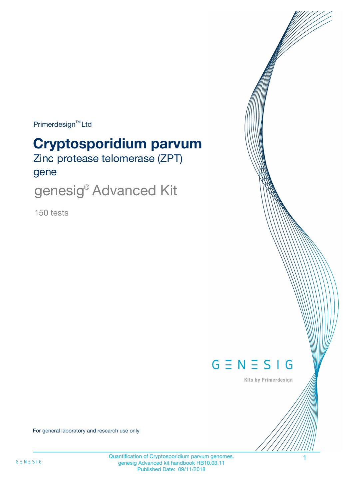$Primerdesign^{\text{TM}}$ Ltd

# **Cryptosporidium parvum**

Zinc protease telomerase (ZPT) gene

genesig® Advanced Kit

150 tests



Kits by Primerdesign

For general laboratory and research use only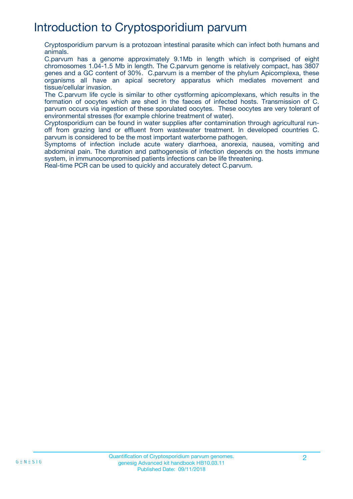### Introduction to Cryptosporidium parvum

Cryptosporidium parvum is a protozoan intestinal parasite which can infect both humans and animals.

C.parvum has a genome approximately 9.1Mb in length which is comprised of eight chromosomes 1.04-1.5 Mb in length. The C.parvum genome is relatively compact, has 3807 genes and a GC content of 30%. C.parvum is a member of the phylum Apicomplexa, these organisms all have an apical secretory apparatus which mediates movement and tissue/cellular invasion.

The C.parvum life cycle is similar to other cystforming apicomplexans, which results in the formation of oocytes which are shed in the faeces of infected hosts. Transmission of C. parvum occurs via ingestion of these sporulated oocytes. These oocytes are very tolerant of environmental stresses (for example chlorine treatment of water).

Cryptosporidium can be found in water supplies after contamination through agricultural runoff from grazing land or effluent from wastewater treatment. In developed countries C. parvum is considered to be the most important waterborne pathogen.

Symptoms of infection include acute watery diarrhoea, anorexia, nausea, vomiting and abdominal pain. The duration and pathogenesis of infection depends on the hosts immune system, in immunocompromised patients infections can be life threatening.

Real-time PCR can be used to quickly and accurately detect C.parvum.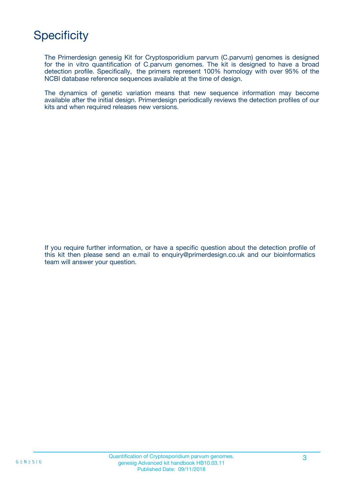## **Specificity**

The Primerdesign genesig Kit for Cryptosporidium parvum (C.parvum) genomes is designed for the in vitro quantification of C.parvum genomes. The kit is designed to have a broad detection profile. Specifically, the primers represent 100% homology with over 95% of the NCBI database reference sequences available at the time of design.

The dynamics of genetic variation means that new sequence information may become available after the initial design. Primerdesign periodically reviews the detection profiles of our kits and when required releases new versions.

If you require further information, or have a specific question about the detection profile of this kit then please send an e.mail to enquiry@primerdesign.co.uk and our bioinformatics team will answer your question.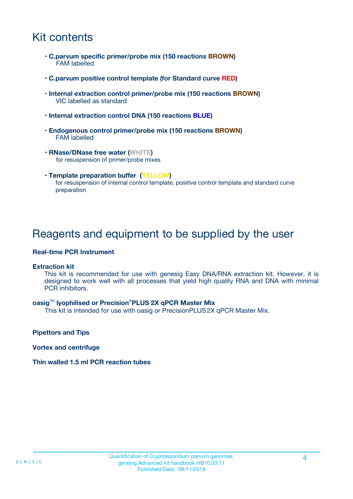### Kit contents

- **C.parvum specific primer/probe mix (150 reactions BROWN)** FAM labelled
- **C.parvum positive control template (for Standard curve RED)**
- **Internal extraction control primer/probe mix (150 reactions BROWN)** VIC labelled as standard
- **Internal extraction control DNA (150 reactions BLUE)**
- **Endogenous control primer/probe mix (150 reactions BROWN)** FAM labelled
- **RNase/DNase free water (WHITE)** for resuspension of primer/probe mixes
- **Template preparation buffer (YELLOW)** for resuspension of internal control template, positive control template and standard curve preparation

### Reagents and equipment to be supplied by the user

#### **Real-time PCR Instrument**

#### **Extraction kit**

This kit is recommended for use with genesig Easy DNA/RNA extraction kit. However, it is designed to work well with all processes that yield high quality RNA and DNA with minimal PCR inhibitors.

#### **oasig**TM **lyophilised or Precision**®**PLUS 2X qPCR Master Mix**

This kit is intended for use with oasig or PrecisionPLUS2X qPCR Master Mix.

**Pipettors and Tips**

**Vortex and centrifuge**

#### **Thin walled 1.5 ml PCR reaction tubes**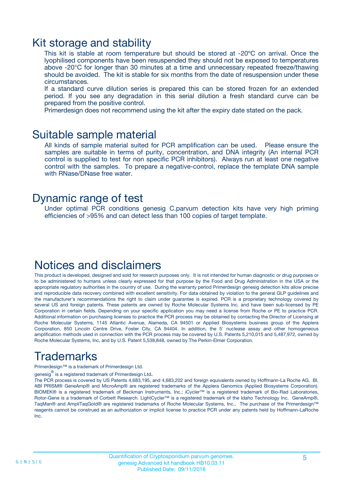### Kit storage and stability

This kit is stable at room temperature but should be stored at -20ºC on arrival. Once the lyophilised components have been resuspended they should not be exposed to temperatures above -20°C for longer than 30 minutes at a time and unnecessary repeated freeze/thawing should be avoided. The kit is stable for six months from the date of resuspension under these circumstances.

If a standard curve dilution series is prepared this can be stored frozen for an extended period. If you see any degradation in this serial dilution a fresh standard curve can be prepared from the positive control.

Primerdesign does not recommend using the kit after the expiry date stated on the pack.

### Suitable sample material

All kinds of sample material suited for PCR amplification can be used. Please ensure the samples are suitable in terms of purity, concentration, and DNA integrity (An internal PCR control is supplied to test for non specific PCR inhibitors). Always run at least one negative control with the samples. To prepare a negative-control, replace the template DNA sample with RNase/DNase free water.

### Dynamic range of test

Under optimal PCR conditions genesig C.parvum detection kits have very high priming efficiencies of >95% and can detect less than 100 copies of target template.

### Notices and disclaimers

This product is developed, designed and sold for research purposes only. It is not intended for human diagnostic or drug purposes or to be administered to humans unless clearly expressed for that purpose by the Food and Drug Administration in the USA or the appropriate regulatory authorities in the country of use. During the warranty period Primerdesign genesig detection kits allow precise and reproducible data recovery combined with excellent sensitivity. For data obtained by violation to the general GLP guidelines and the manufacturer's recommendations the right to claim under guarantee is expired. PCR is a proprietary technology covered by several US and foreign patents. These patents are owned by Roche Molecular Systems Inc. and have been sub-licensed by PE Corporation in certain fields. Depending on your specific application you may need a license from Roche or PE to practice PCR. Additional information on purchasing licenses to practice the PCR process may be obtained by contacting the Director of Licensing at Roche Molecular Systems, 1145 Atlantic Avenue, Alameda, CA 94501 or Applied Biosystems business group of the Applera Corporation, 850 Lincoln Centre Drive, Foster City, CA 94404. In addition, the 5' nuclease assay and other homogeneous amplification methods used in connection with the PCR process may be covered by U.S. Patents 5,210,015 and 5,487,972, owned by Roche Molecular Systems, Inc, and by U.S. Patent 5,538,848, owned by The Perkin-Elmer Corporation.

### Trademarks

Primerdesign™ is a trademark of Primerdesign Ltd.

genesig $^\circledR$  is a registered trademark of Primerdesign Ltd.

The PCR process is covered by US Patents 4,683,195, and 4,683,202 and foreign equivalents owned by Hoffmann-La Roche AG. BI, ABI PRISM® GeneAmp® and MicroAmp® are registered trademarks of the Applera Genomics (Applied Biosystems Corporation). BIOMEK® is a registered trademark of Beckman Instruments, Inc.; iCycler™ is a registered trademark of Bio-Rad Laboratories, Rotor-Gene is a trademark of Corbett Research. LightCycler™ is a registered trademark of the Idaho Technology Inc. GeneAmp®, TaqMan® and AmpliTaqGold® are registered trademarks of Roche Molecular Systems, Inc., The purchase of the Primerdesign™ reagents cannot be construed as an authorization or implicit license to practice PCR under any patents held by Hoffmann-LaRoche Inc.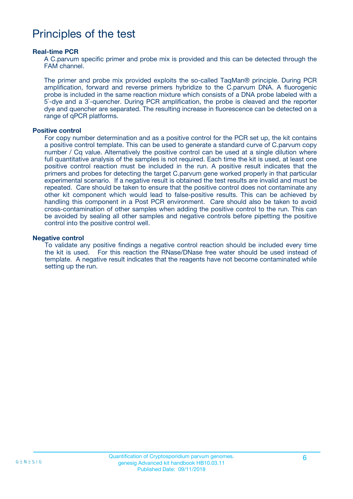### Principles of the test

#### **Real-time PCR**

A C.parvum specific primer and probe mix is provided and this can be detected through the FAM channel.

The primer and probe mix provided exploits the so-called TaqMan® principle. During PCR amplification, forward and reverse primers hybridize to the C.parvum DNA. A fluorogenic probe is included in the same reaction mixture which consists of a DNA probe labeled with a 5`-dye and a 3`-quencher. During PCR amplification, the probe is cleaved and the reporter dye and quencher are separated. The resulting increase in fluorescence can be detected on a range of qPCR platforms.

#### **Positive control**

For copy number determination and as a positive control for the PCR set up, the kit contains a positive control template. This can be used to generate a standard curve of C.parvum copy number / Cq value. Alternatively the positive control can be used at a single dilution where full quantitative analysis of the samples is not required. Each time the kit is used, at least one positive control reaction must be included in the run. A positive result indicates that the primers and probes for detecting the target C.parvum gene worked properly in that particular experimental scenario. If a negative result is obtained the test results are invalid and must be repeated. Care should be taken to ensure that the positive control does not contaminate any other kit component which would lead to false-positive results. This can be achieved by handling this component in a Post PCR environment. Care should also be taken to avoid cross-contamination of other samples when adding the positive control to the run. This can be avoided by sealing all other samples and negative controls before pipetting the positive control into the positive control well.

#### **Negative control**

To validate any positive findings a negative control reaction should be included every time the kit is used. For this reaction the RNase/DNase free water should be used instead of template. A negative result indicates that the reagents have not become contaminated while setting up the run.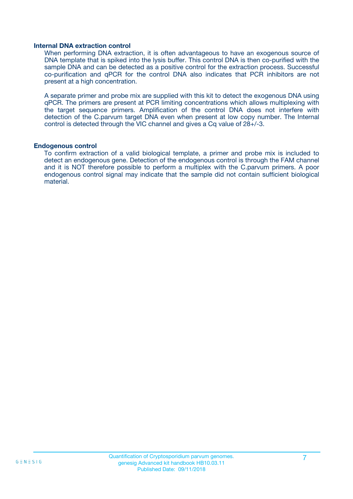#### **Internal DNA extraction control**

When performing DNA extraction, it is often advantageous to have an exogenous source of DNA template that is spiked into the lysis buffer. This control DNA is then co-purified with the sample DNA and can be detected as a positive control for the extraction process. Successful co-purification and qPCR for the control DNA also indicates that PCR inhibitors are not present at a high concentration.

A separate primer and probe mix are supplied with this kit to detect the exogenous DNA using qPCR. The primers are present at PCR limiting concentrations which allows multiplexing with the target sequence primers. Amplification of the control DNA does not interfere with detection of the C.parvum target DNA even when present at low copy number. The Internal control is detected through the VIC channel and gives a Cq value of 28+/-3.

#### **Endogenous control**

To confirm extraction of a valid biological template, a primer and probe mix is included to detect an endogenous gene. Detection of the endogenous control is through the FAM channel and it is NOT therefore possible to perform a multiplex with the C.parvum primers. A poor endogenous control signal may indicate that the sample did not contain sufficient biological material.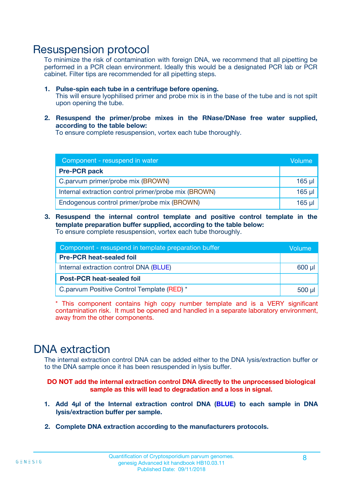### Resuspension protocol

To minimize the risk of contamination with foreign DNA, we recommend that all pipetting be performed in a PCR clean environment. Ideally this would be a designated PCR lab or PCR cabinet. Filter tips are recommended for all pipetting steps.

- **1. Pulse-spin each tube in a centrifuge before opening.** This will ensure lyophilised primer and probe mix is in the base of the tube and is not spilt upon opening the tube.
- **2. Resuspend the primer/probe mixes in the RNase/DNase free water supplied, according to the table below:**

To ensure complete resuspension, vortex each tube thoroughly.

| Component - resuspend in water                       |             |  |
|------------------------------------------------------|-------------|--|
| <b>Pre-PCR pack</b>                                  |             |  |
| C.parvum primer/probe mix (BROWN)                    | $165$ $\mu$ |  |
| Internal extraction control primer/probe mix (BROWN) | $165$ $\mu$ |  |
| Endogenous control primer/probe mix (BROWN)          | $165$ µl    |  |

**3. Resuspend the internal control template and positive control template in the template preparation buffer supplied, according to the table below:** To ensure complete resuspension, vortex each tube thoroughly.

| Component - resuspend in template preparation buffer |  |  |  |
|------------------------------------------------------|--|--|--|
| <b>Pre-PCR heat-sealed foil</b>                      |  |  |  |
| Internal extraction control DNA (BLUE)               |  |  |  |
| <b>Post-PCR heat-sealed foil</b>                     |  |  |  |
| C.parvum Positive Control Template (RED) *           |  |  |  |

\* This component contains high copy number template and is a VERY significant contamination risk. It must be opened and handled in a separate laboratory environment, away from the other components.

### DNA extraction

The internal extraction control DNA can be added either to the DNA lysis/extraction buffer or to the DNA sample once it has been resuspended in lysis buffer.

**DO NOT add the internal extraction control DNA directly to the unprocessed biological sample as this will lead to degradation and a loss in signal.**

- **1. Add 4µl of the Internal extraction control DNA (BLUE) to each sample in DNA lysis/extraction buffer per sample.**
- **2. Complete DNA extraction according to the manufacturers protocols.**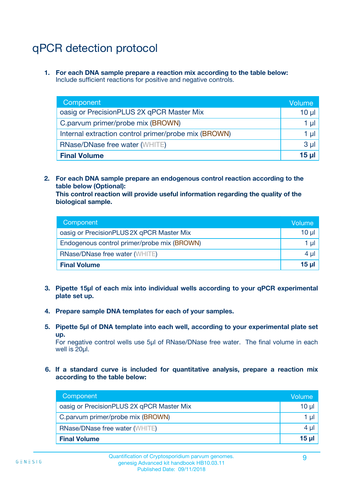# qPCR detection protocol

**1. For each DNA sample prepare a reaction mix according to the table below:** Include sufficient reactions for positive and negative controls.

| Component                                            | Volume   |
|------------------------------------------------------|----------|
| oasig or PrecisionPLUS 2X qPCR Master Mix            | 10 $\mu$ |
| C.parvum primer/probe mix (BROWN)                    | 1 µl     |
| Internal extraction control primer/probe mix (BROWN) | 1 µl     |
| <b>RNase/DNase free water (WHITE)</b>                | $3 \mu$  |
| <b>Final Volume</b>                                  | 15 µl    |

**2. For each DNA sample prepare an endogenous control reaction according to the table below (Optional):**

**This control reaction will provide useful information regarding the quality of the biological sample.**

| Component                                   | Volume          |
|---------------------------------------------|-----------------|
| oasig or PrecisionPLUS 2X qPCR Master Mix   | 10 <sub>µ</sub> |
| Endogenous control primer/probe mix (BROWN) | 1 µI            |
| <b>RNase/DNase free water (WHITE)</b>       | 4 µl            |
| <b>Final Volume</b>                         | 15 <sub>µ</sub> |

- **3. Pipette 15µl of each mix into individual wells according to your qPCR experimental plate set up.**
- **4. Prepare sample DNA templates for each of your samples.**
- **5. Pipette 5µl of DNA template into each well, according to your experimental plate set up.**

For negative control wells use 5µl of RNase/DNase free water. The final volume in each well is 20ul.

**6. If a standard curve is included for quantitative analysis, prepare a reaction mix according to the table below:**

| Component                                 | Volume          |
|-------------------------------------------|-----------------|
| oasig or PrecisionPLUS 2X qPCR Master Mix | $10 \mu$        |
| C.parvum primer/probe mix (BROWN)         | 1 µI -          |
| <b>RNase/DNase free water (WHITE)</b>     | 4 µl            |
| <b>Final Volume</b>                       | 15 <sub>µ</sub> |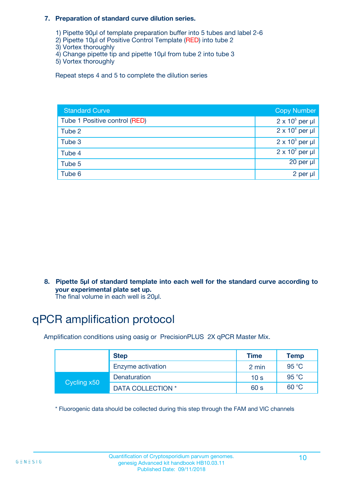#### **7. Preparation of standard curve dilution series.**

- 1) Pipette 90µl of template preparation buffer into 5 tubes and label 2-6
- 2) Pipette 10µl of Positive Control Template (RED) into tube 2
- 3) Vortex thoroughly
- 4) Change pipette tip and pipette 10µl from tube 2 into tube 3
- 5) Vortex thoroughly

Repeat steps 4 and 5 to complete the dilution series

| <b>Standard Curve</b>         | <b>Copy Number</b>     |
|-------------------------------|------------------------|
| Tube 1 Positive control (RED) | $2 \times 10^5$ per µl |
| Tube 2                        | $2 \times 10^4$ per µl |
| Tube 3                        | $2 \times 10^3$ per µl |
| Tube 4                        | $2 \times 10^2$ per µl |
| Tube 5                        | 20 per µl              |
| Tube 6                        | 2 per µl               |

**8. Pipette 5µl of standard template into each well for the standard curve according to your experimental plate set up.**

#### The final volume in each well is 20µl.

### qPCR amplification protocol

Amplification conditions using oasig or PrecisionPLUS 2X qPCR Master Mix.

|             | <b>Step</b>       | <b>Time</b>     | Temp    |
|-------------|-------------------|-----------------|---------|
|             | Enzyme activation | 2 min           | 95 °C   |
| Cycling x50 | Denaturation      | 10 <sub>s</sub> | 95 $°C$ |
|             | DATA COLLECTION * | 60 s            | 60 °C   |

\* Fluorogenic data should be collected during this step through the FAM and VIC channels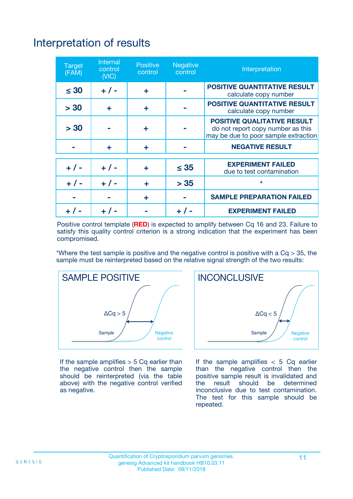# Interpretation of results

| <b>Target</b><br>(FAM) | <b>Internal</b><br>control<br>(NIC) | <b>Positive</b><br>control | <b>Negative</b><br>control | Interpretation                                                                                                  |
|------------------------|-------------------------------------|----------------------------|----------------------------|-----------------------------------------------------------------------------------------------------------------|
| $\leq 30$              | $+ 1 -$                             | ÷                          |                            | <b>POSITIVE QUANTITATIVE RESULT</b><br>calculate copy number                                                    |
| > 30                   | ٠                                   | ÷                          |                            | <b>POSITIVE QUANTITATIVE RESULT</b><br>calculate copy number                                                    |
| > 30                   |                                     | ÷                          |                            | <b>POSITIVE QUALITATIVE RESULT</b><br>do not report copy number as this<br>may be due to poor sample extraction |
|                        | ÷                                   | ÷                          |                            | <b>NEGATIVE RESULT</b>                                                                                          |
| $+ 1 -$                | $+ 1 -$                             | ÷                          | $\leq$ 35                  | <b>EXPERIMENT FAILED</b><br>due to test contamination                                                           |
| $+$ / -                | $+ 1 -$                             | ÷                          | > 35                       | $\star$                                                                                                         |
|                        |                                     | ÷                          |                            | <b>SAMPLE PREPARATION FAILED</b>                                                                                |
|                        |                                     |                            | $+$ /                      | <b>EXPERIMENT FAILED</b>                                                                                        |

Positive control template (**RED**) is expected to amplify between Cq 16 and 23. Failure to satisfy this quality control criterion is a strong indication that the experiment has been compromised.

\*Where the test sample is positive and the negative control is positive with a  $Ca > 35$ , the sample must be reinterpreted based on the relative signal strength of the two results:



If the sample amplifies  $> 5$  Cq earlier than the negative control then the sample should be reinterpreted (via the table above) with the negative control verified as negative.



If the sample amplifies  $< 5$  Cq earlier than the negative control then the positive sample result is invalidated and<br>the result should be determined  $the$  result should be inconclusive due to test contamination. The test for this sample should be repeated.